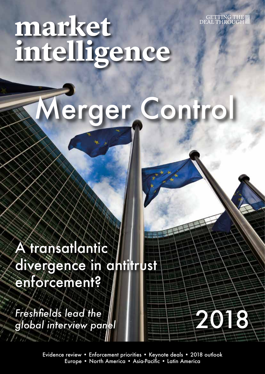2018

# market<br>intelligence

A transatlantic divergence in antitrust enforcement?

*Freshfields lead the global interview panel*

> Evidence review • Enforcement priorities • Keynote deals • 2018 outlook Europe • North America • Asia-Pacific • Latin America

Merger Control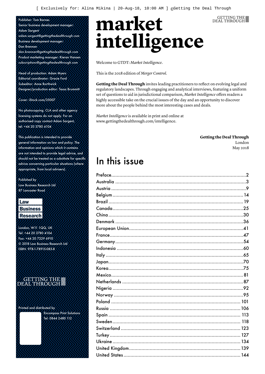Publisher: Tom Barnes Senior business development manager: Adam Sargent

*adam.sargent@gettingthedealthrough.com* Business development manager: Dan Brennan

*dan.brennan@gettingthedealthrough.com* Product marketing manager: Kieran Hansen *subscriptions@gettingthedealthrough.com*

Head of production: Adam Myers Editorial coordinator: Gracie Ford Subeditor: Anne Borthwick Designer/production editor: Tessa Brummitt

Cover: iStock.com/35007

No photocopying. CLA and other agency licensing systems do not apply. For an authorised copy contact Adam Sargent, tel: +44 20 3780 4104

This publication is intended to provide general information on law and policy. The information and opinions which it contains are not intended to provide legal advice, and should not be treated as a substitute for specific advice concerning particular situations (where appropriate, from local advisers).

Published by Law Business Research Ltd 87 Lancaster Road

#### Law **Business Research**

London, W11 1QQ, UK Tel: +44 20 3780 4104 Fax: +44 20 7229 6910 © 2018 Law Business Research Ltd ISBN: 978-1-78915-085-8

### // GETTING THI<br>DEAL THROUGH

Printed and distributed by

Encompass Print Solutions Tel: 0844 2480 112

# market intelligence

Welcome to GTDT: *Market Intelligence*.

This is the 2018 edition of *Merger Control*.

**Getting the Deal Through** invites leading practitioners to reflect on evolving legal and regulatory landscapes. Through engaging and analytical interviews, featuring a uniform set of questions to aid in jurisdictional comparison, *Market Intelligence* offers readers a highly accessible take on the crucial issues of the day and an opportunity to discover more about the people behind the most interesting cases and deals.

*Market Intelligence* is available in print and online at www.gettingthedealthrough.com/intelligence.

#### **Getting the Deal Through**

GETTING THE

London May 2018

## In this issue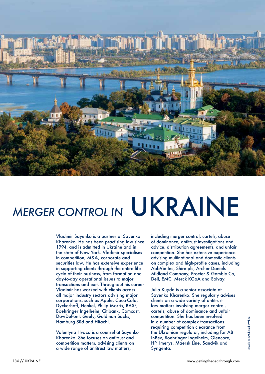

# *MERGER CONTROL IN* UKRAINE

Vladimir Sayenko is a partner at Sayenko Kharenko. He has been practising law since 1994, and is admitted in Ukraine and in the state of New York. Vladimir specialises in competition, M&A, corporate and securities law. He has extensive experience in supporting clients through the entire life cycle of their business, from formation and day-to-day operational issues to major transactions and exit. Throughout his career Vladimir has worked with clients across all major industry sectors advising major corporations, such as Apple, Coca-Cola, Dyckerhoff, Henkel, Philip Morris, BASF, Boehringer Ingelheim, Citibank, Comcast, DowDuPont, Geely, Goldman Sachs, Hamburg Süd and Hitachi.

Valentyna Hvozd is a counsel at Sayenko Kharenko. She focuses on antitrust and competition matters, advising clients on a wide range of antitrust law matters,

including merger control, cartels, abuse of dominance, antitrust investigations and advice, distribution agreements, and unfair competition. She has extensive experience advising multinational and domestic clients on complex and high-profile cases, including AbbVie Inc, Shire plc, Archer Daniels Midland Company, Procter & Gamble Co, Dell, EMC, Merck KGaA and Solvay.

Julia Kuyda is a senior associate at Sayenko Kharenko. She regularly advises clients on a wide variety of antitrust law matters involving merger control, cartels, abuse of dominance and unfair competition. She has been involved in a number of complex transactions requiring competition clearance from the Ukrainian regulator, including for AB InBev, Boehringer Ingelheim, Glencore, HP, Imerys, Maersk Line, Sandvik and Syngenta.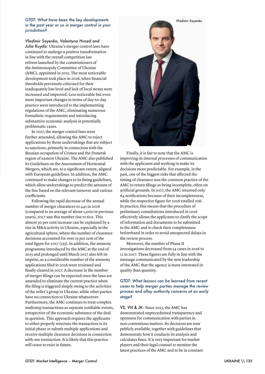*GTDT: What have been the key developments in the past year or so in merger control in your jurisdiction?*

*Vladimir Sayenko, Valentyna Hvozd and Julia Kuyda:* Ukraine's merger control laws have continued to undergo a positive transformation in line with the overall competition law reform launched by the commissioners of the Antimonopoly Committee of Ukraine (AMC), appointed in 2015. The most noticeable development took place in 2016, when financial thresholds previously criticised for their inadequately low level and lack of local nexus were increased and improved. Less noticeable but even more important changes in terms of day-to-day practice were introduced to the implementing regulations of the AMC, eliminating numerous formalistic requirements and introducing substantive economic analysis in potentially problematic cases.

In 2017, the merger control laws were further amended, allowing the AMC to reject applications by those undertakings that are subject to sanctions, primarily in connection with the Russian occupation of Crimea and the Donetsk region of eastern Ukraine. The AMC also published its Guidelines on the Assessment of Horizontal Mergers, which are, to a significant extent, aligned with European guidelines. In addition, the AMC continued to make changes to its fining guidelines, which allow undertakings to predict the amount of the fine based on the relevant turnover and various coefficients.

Following the rapid decrease of the annual number of merger clearances to 441 in 2016 (compared to an average of about 1,000 in previous years), 2017 saw this number rise to 602. This almost 50 per cent increase can be explained by a rise in M&A activity in Ukraine, especially in the agricultural sphere, where the number of clearance decisions accounted for over 25 per cent of the total figure for 2017 (155). In addition, the amnesty programme introduced by the AMC at the end of 2015 and prolonged until March 2017 also left its imprint, as a considerable number of the amnesty applications filed in 2016 were reviewed and finally cleared in 2017. A decrease in the number of merger filings can be expected once the laws are amended to eliminate the current practice when the filing is triggered simply owing to the activities of the seller's group in Ukraine, while other parties have no connection to Ukraine whatsoever. Furthermore, the AMC continues to treat complex multistep transactions as separate notifiable events, irrespective of the economic substance of the deal in question. This approach requires the applicants to either properly structure the transaction in its initial phase or submit multiple applications and receive multiple clearance decisions in connection with one transaction. It is likely that this practice will cease to exist in future.



Finally, it is fair to note that the AMC is improving its internal processes of communication with the applicants and working to make its decisions more predictable. For example, in the past, one of the biggest risks that affected the timing of clearance was the common practice of the AMC to return filings as being incomplete, often on artificial grounds. In 2017, the AMC returned only 64 notifications because of their incompleteness, while the respective figure for 2016 totalled 106. In practice, this means that the procedure of preliminary consultations introduced in 2016 effectively allows the applicants to clarify the scope of information and documents to be submitted to the AMC and to check their completeness beforehand in order to avoid unexpected delays in the review process.

Moreover, the number of Phase II investigations decreased from 54 cases in 2016 to 11 in 2017. These figures are fully in line with the message communicated by the new leadership of the AMC that the agency is more interested in quality than quantity.

#### *GTDT: What lessons can be learned from recent cases to help merger parties manage the review process and allay authority concerns at an early stage?*

*VS, VH & JK:* Since 2015, the AMC has demonstrated unprecedented transparency and openness for communication with parties in non-contentious matters. Its decisions are now publicly available, together with guidelines that demonstrate how it conducts its analysis and calculates fines. It is very important for market players and their legal counsel to monitor the latest practices of the AMC and to be in constant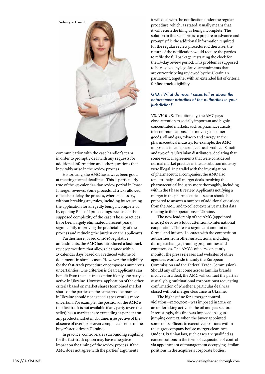

communication with the case handler's team in order to promptly deal with any requests for additional information and other questions that inevitably arise in the review process.

Historically, the AMC has always been good at meeting formal deadlines. This is particularly true of the 45-calendar-day review period in Phase I merger reviews. Some procedural tricks allowed officials to delay the process, where necessary, without breaking any rules, including by returning the application for allegedly being incomplete or by opening Phase II proceedings because of the supposed complexity of the case. These practices have been largely eliminated in recent years, significantly improving the predictability of the process and reducing the burden on the applicants.

Furthermore, based on 2016 legislative amendments, the AMC has introduced a fast-track review procedure that allows clearance within 25 calendar days based on a reduced volume of documents in simple cases. However, the eligibility for the fast-track procedure encompasses numerous uncertainties. One criterion is clear: applicants can benefit from the fast-track option if only one party is active in Ukraine. However, application of the other criteria based on market shares (combined market share of the parties on the same product market in Ukraine should not exceed 15 per cent) is more uncertain. For example, the position of the AMC is that fast track is not available if any party (even the seller) has a market share exceeding 15 per cent on any product market in Ukraine, irrespective of the absence of overlap or even complete absence of the buyer's activities in Ukraine.

In practice, controversies surrounding eligibility for the fast-track option may have a negative impact on the timing of the review process. If the AMC does not agree with the parties' arguments

it will deal with the notification under the regular procedure, which, as stated, usually means that it will return the filing as being incomplete. The solution in this scenario is to prepare in advance and promptly file the additional information required for the regular review procedure. Otherwise, the return of the notification would require the parties to refile the full package, restarting the clock for the 45-day review period. This problem is supposed to be resolved by legislative amendments that are currently being reviewed by the Ukrainian parliament, together with an extended list of criteria for fast-track eligibility.

#### *GTDT: What do recent cases tell us about the enforcement priorities of the authorities in your jurisdiction?*

*VS, VH & JK:* Traditionally, the AMC pays close attention to socially important and highly concentrated markets, such as pharmaceuticals, telecommunications, fast-moving consumer goods, oil and gas, tobacco and energy. In the pharmaceutical industry, for example, the AMC imposed a fine on pharmaceutical producer Sanofi and two of its Ukrainian distributors, declaring that some vertical agreements that were considered normal market practice in the distribution industry were illegal. In parallel with the investigation of pharmaceutical companies, the AMC also tend to analyse all merger deals involving the pharmaceutical industry more thoroughly, including within the Phase II review. Applicants notifying a merger in the pharmaceuticals sector should be prepared to answer a number of additional questions from the AMC and to collect extensive market data relating to their operations in Ukraine.

The new leadership of the AMC (appointed in 2015) devotes a lot of attention to international cooperation. There is a significant amount of formal and informal contact with the competition authorities from other jurisdictions, including during exchanges, training programmes and conferences. The AMC's officers constantly monitor the press releases and websites of other agencies worldwide (mainly the European Commission and the Federal Trade Commission). Should any officer come across familiar brands involved in a deal, the AMC will contact the parties (usually big multinational corporations) requesting confirmation of whether a particular deal was closed without merger clearance in Ukraine.

The highest fine for a merger control violation –  $\epsilon$ 100,000 – was imposed in 2016 on an undertaking active in the oil and gas sector. Interestingly, this fine was imposed in a gunjumping context, when the buyer appointed some of its officers to executive positions within the target company before merger clearance. Under Ukrainian law, such cases are qualified as concentrations in the form of acquisition of control via appointment of management occupying similar positions in the acquirer's corporate bodies.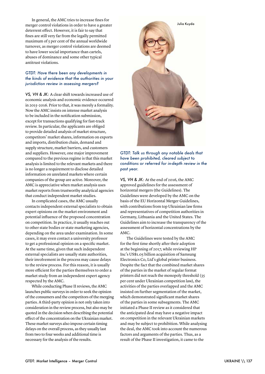In general, the AMC tries to increase fines for merger control violations in order to have a greater deterrent effect. However, it is fair to say that fines are still very far from the legally permitted maximum of 5 per cent of the annual worldwide turnover, as merger control violations are deemed to have lower social importance than cartels, abuses of dominance and some other typical antitrust violations.

#### *GTDT: Have there been any developments in the kinds of evidence that the authorities in your jurisdiction review in assessing mergers?*

*VS, VH & JK:* A clear shift towards increased use of economic analysis and economic evidence occurred in 2015–2016. Prior to that, it was merely a formality. Now the AMC insists on intense market analysis to be included in the notification submission, except for transactions qualifying for fast-track review. In particular, the applicants are obliged to provide detailed analysis of market structure, competitors' market shares, information on exports and imports, distribution chain, demand and supply structure, market barriers, and customers and suppliers. However, one major improvement compared to the previous regime is that this market analysis is limited to the relevant markets and there is no longer a requirement to disclose detailed information on unrelated markets where certain companies of the group are active. Moreover, the AMC is appreciative when market analysis uses market reports from trustworthy analytical agencies that conduct independent market studies.

In complicated cases, the AMC usually contacts independent external specialists to obtain expert opinions on the market environment and potential influence of the proposed concentration on competition. In practice, it usually reaches out to other state bodies or state marketing agencies, depending on the area under examination. In some cases, it may even contact a university professor to get a professional opinion on a specific market. At the same time, given that such independent external specialists are usually state authorities, their involvement in the process may cause delays to the review process. For this reason, it is usually more efficient for the parties themselves to order a market study from an independent expert agency respected by the AMC.

While conducting Phase II reviews, the AMC launches public surveys in order to seek the opinion of the consumers and the competitors of the merging parties. A third-party opinion is not only taken into consideration in the review process, but also may be quoted in the decision when describing the potential effect of the concentration on the Ukrainian market. These market surveys also impose certain timing delays on the overall process, as they usually last from two to four weeks and additional time is necessary for the analysis of the results.



*GTDT: Talk us through any notable deals that have been prohibited, cleared subject to conditions or referred for in-depth review in the past year.*

*VS, VH & JK:* At the end of 2016, the AMC approved guidelines for the assessment of horizontal mergers (the Guidelines). The Guidelines were developed by the AMC on the basis of the EU Horizontal Merger Guidelines, with contributions from top Ukrainian law firms and representatives of competition authorities in Germany, Lithuania and the United States. The Guidelines aim to increase the transparency of the assessment of horizontal concentrations by the AMC.

The Guidelines were tested by the AMC for the first time shortly after their adoption at the beginning of 2017, while reviewing HP Inc's US\$1.05 billion acquisition of Samsung Electronics Co, Ltd's global printer business. Despite the fact that the combined market shares of the parties in the market of regular format printers did not reach the monopoly threshold (35 per cent under Ukrainian competition law), the activities of the parties overlapped and the AMC insisted on further segmentation of the market, which demonstrated significant market shares of the parties in some subsegments. The AMC initiated a Phase II review as it considered that the anticipated deal may have a negative impact on competition in the relevant Ukrainian markets and may be subject to prohibition. While analysing the deal, the AMC took into account the numerous factors and arguments of the parties. Thus, as a result of the Phase II investigation, it came to the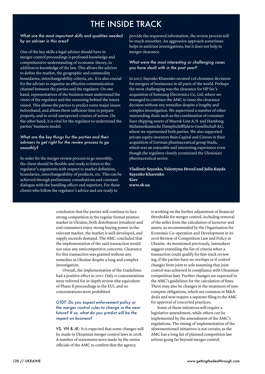## THE INSIDE TRACK

*What are the most important skills and qualities needed by an adviser in this area?*

One of the key skills a legal adviser should have in merger control proceedings is profound knowledge and comprehensive understanding of economic theory, in addition to knowledge of the law. This allows the adviser to define the market, the geographic and commodity boundaries, interchangeability criteria, etc. It is also crucial for the adviser to organise an effective communication channel between the parties and the regulator. On one hand, representatives of the business must understand the views of the regulator and the reasoning behind the issues raised. This allows the parties to predict some major issues beforehand, and allows them sufficient time to prepare properly, and to avoid unexpected courses of action. On the other hand, it is vital for the regulator to understand the parties' business model.

#### *What are the key things for the parties and their advisers to get right for the review process to go smoothly?*

In order for the merger review process to go smoothly, the client should be flexible and ready to listen to the regulator's arguments with respect to market definition, boundaries, interchangeability of products, etc. This can be achieved through preliminary consultations and constant dialogue with the handling officer and superiors. For those clients who follow the regulator's advice and are ready to

provide the requested information, the review process will be much smoother. An aggressive approach sometimes helps in antitrust investigations, but it does not help in merger clearance.

*What were the most interesting or challenging cases you have dealt with in the past year?*

In 2017, Sayenko Kharenko secured 116 clearance decisions for mergers of businesses in all parts of the world. Perhaps the most challenging was the clearance for HP Inc's acquisition of Samsung Electronics Co, Ltd, where we managed to convince the AMC to issue the clearance decision without any remedies despite a lengthy and complex investigation. We supervised a number of other outstanding deals such as the combination of container liner shipping assets of Maersk Line A/S and Hamburg Südamerikanische Dampfschifffahrts-Gesellschaft KG, where we represented both parties. We also supported private equity investors Bain Capital and Cinven in their acquisition of German pharmaceutical group Stada, which was an enjoyable and interesting experience even though the regulator closely scrutinised the Ukrainian pharmaceutical sector.

**Vladimir Sayenko, Valentyna Hvozd and Julia Kuyda Sayenko Kharenko Kiev**

**www.sk.ua**

conclusion that the parties will continue to face strong competition in the regular format printers market in Ukraine, both distributors (retailers) and end consumers enjoy strong buying power in the relevant market, the market is well developed, and supply exceeds demand. The AMC concluded that the implementation of the said transaction would not raise any anticompetitive concerns. Clearance for this transaction was granted without any remedies in Ukraine despite a long and complex investigation.

Overall, the implementation of the Guidelines had a positive effect in 2017. Only 11 concentrations were referred for in-depth review (the equivalent of Phase II proceedings in the EU), and no concentrations were prohibited.

#### *GTDT: Do you expect enforcement policy or the merger control rules to change in the near future? If so, what do you predict will be the impact on business?*

*VS, VH & JK:* It is expected that some changes will be made to Ukrainian merger control laws in 2018. A number of statements were made by the senior officials of the AMC to confirm that the agency

is working on the further adjustment of financial thresholds for merger control, including removal of the seller from the calculation of turnover and assets, as recommended by the Organisation for Economic Co-operation and Development in its 2016 Review of Competition Law and Policy in Ukraine. As mentioned previously, lawmakers suggest extending the list of criteria when a transaction could qualify for fast-track review (eg, if the parties have no overlaps or if control changes from joint to sole assuming that joint control was achieved in compliance with Ukrainian competition law). Further changes are expected in the AMC's guidelines for the calculation of fines. There may also be changes in the treatment of noncompete obligations, which are common in M&A deals and now require a separate filing to the AMC for approval of concerted practices.

Some of these initiatives will require a legislative amendment, while others can be implemented by the amendment of the AMC's regulations. The timing of implementation of the aforementioned initiatives is not certain, as the AMC has a long list of planned competition law reform going far beyond merger control.